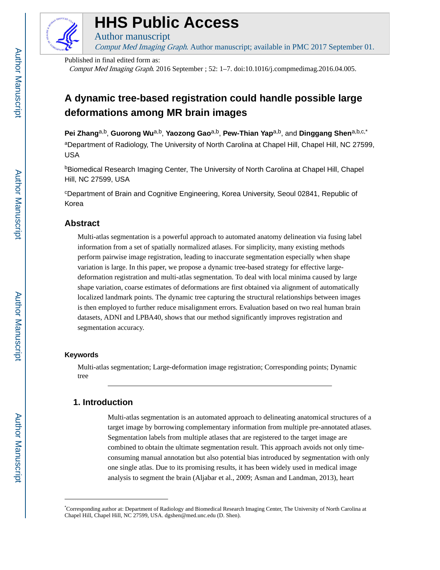

# **HHS Public Access**

Comput Med Imaging Graph. Author manuscript; available in PMC 2017 September 01.

Published in final edited form as:

Author manuscript

Comput Med Imaging Graph. 2016 September ; 52: 1–7. doi:10.1016/j.compmedimag.2016.04.005.

# **A dynamic tree-based registration could handle possible large deformations among MR brain images**

**Pei Zhang**a,b, **Guorong Wu**a,b, **Yaozong Gao**a,b, **Pew-Thian Yap**a,b, and **Dinggang Shen**a,b,c,\* aDepartment of Radiology, The University of North Carolina at Chapel Hill, Chapel Hill, NC 27599, USA

**BBiomedical Research Imaging Center, The University of North Carolina at Chapel Hill, Chapel** Hill, NC 27599, USA

<sup>c</sup>Department of Brain and Cognitive Engineering, Korea University, Seoul 02841, Republic of Korea

# **Abstract**

Multi-atlas segmentation is a powerful approach to automated anatomy delineation via fusing label information from a set of spatially normalized atlases. For simplicity, many existing methods perform pairwise image registration, leading to inaccurate segmentation especially when shape variation is large. In this paper, we propose a dynamic tree-based strategy for effective largedeformation registration and multi-atlas segmentation. To deal with local minima caused by large shape variation, coarse estimates of deformations are first obtained via alignment of automatically localized landmark points. The dynamic tree capturing the structural relationships between images is then employed to further reduce misalignment errors. Evaluation based on two real human brain datasets, ADNI and LPBA40, shows that our method significantly improves registration and segmentation accuracy.

#### **Keywords**

Multi-atlas segmentation; Large-deformation image registration; Corresponding points; Dynamic tree

# **1. Introduction**

Multi-atlas segmentation is an automated approach to delineating anatomical structures of a target image by borrowing complementary information from multiple pre-annotated atlases. Segmentation labels from multiple atlases that are registered to the target image are combined to obtain the ultimate segmentation result. This approach avoids not only timeconsuming manual annotation but also potential bias introduced by segmentation with only one single atlas. Due to its promising results, it has been widely used in medical image analysis to segment the brain (Aljabar et al., 2009; Asman and Landman, 2013), heart

<sup>\*</sup>Corresponding author at: Department of Radiology and Biomedical Research Imaging Center, The University of North Carolina at Chapel Hill, Chapel Hill, NC 27599, USA. dgshen@med.unc.edu (D. Shen).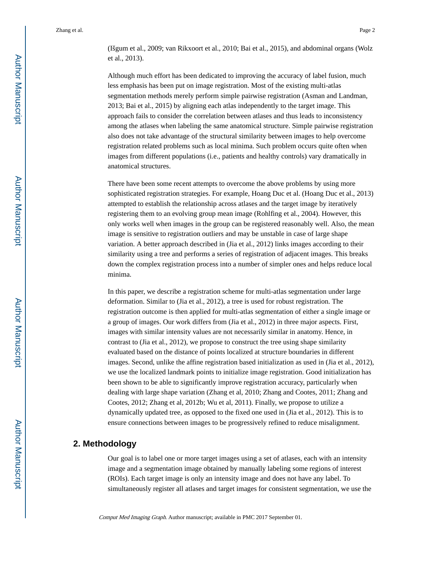(Išgum et al., 2009; van Rikxoort et al., 2010; Bai et al., 2015), and abdominal organs (Wolz et al., 2013).

Although much effort has been dedicated to improving the accuracy of label fusion, much less emphasis has been put on image registration. Most of the existing multi-atlas segmentation methods merely perform simple pairwise registration (Asman and Landman, 2013; Bai et al., 2015) by aligning each atlas independently to the target image. This approach fails to consider the correlation between atlases and thus leads to inconsistency among the atlases when labeling the same anatomical structure. Simple pairwise registration also does not take advantage of the structural similarity between images to help overcome registration related problems such as local minima. Such problem occurs quite often when images from different populations (i.e., patients and healthy controls) vary dramatically in anatomical structures.

There have been some recent attempts to overcome the above problems by using more sophisticated registration strategies. For example, Hoang Duc et al. (Hoang Duc et al., 2013) attempted to establish the relationship across atlases and the target image by iteratively registering them to an evolving group mean image (Rohlfing et al., 2004). However, this only works well when images in the group can be registered reasonably well. Also, the mean image is sensitive to registration outliers and may be unstable in case of large shape variation. A better approach described in (Jia et al., 2012) links images according to their similarity using a tree and performs a series of registration of adjacent images. This breaks down the complex registration process into a number of simpler ones and helps reduce local minima.

In this paper, we describe a registration scheme for multi-atlas segmentation under large deformation. Similar to (Jia et al., 2012), a tree is used for robust registration. The registration outcome is then applied for multi-atlas segmentation of either a single image or a group of images. Our work differs from (Jia et al., 2012) in three major aspects. First, images with similar intensity values are not necessarily similar in anatomy. Hence, in contrast to (Jia et al., 2012), we propose to construct the tree using shape similarity evaluated based on the distance of points localized at structure boundaries in different images. Second, unlike the affine registration based initialization as used in (Jia et al., 2012), we use the localized landmark points to initialize image registration. Good initialization has been shown to be able to significantly improve registration accuracy, particularly when dealing with large shape variation (Zhang et al, 2010; Zhang and Cootes, 2011; Zhang and Cootes, 2012; Zhang et al, 2012b; Wu et al, 2011). Finally, we propose to utilize a dynamically updated tree, as opposed to the fixed one used in (Jia et al., 2012). This is to ensure connections between images to be progressively refined to reduce misalignment.

#### **2. Methodology**

Our goal is to label one or more target images using a set of atlases, each with an intensity image and a segmentation image obtained by manually labeling some regions of interest (ROIs). Each target image is only an intensity image and does not have any label. To simultaneously register all atlases and target images for consistent segmentation, we use the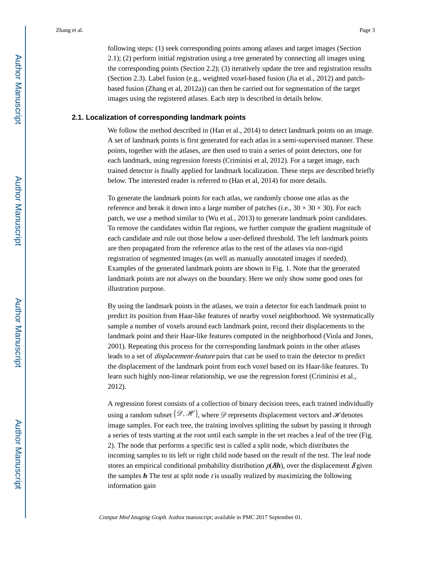following steps: (1) seek corresponding points among atlases and target images (Section 2.1); (2) perform initial registration using a tree generated by connecting all images using the corresponding points (Section 2.2); (3) iteratively update the tree and registration results (Section 2.3). Label fusion (e.g., weighted voxel-based fusion (Jia et al., 2012) and patchbased fusion (Zhang et al, 2012a)) can then be carried out for segmentation of the target images using the registered atlases. Each step is described in details below.

#### **2.1. Localization of corresponding landmark points**

We follow the method described in (Han et al., 2014) to detect landmark points on an image. A set of landmark points is first generated for each atlas in a semi-supervised manner. These points, together with the atlases, are then used to train a series of point detectors, one for each landmark, using regression forests (Criminisi et al, 2012). For a target image, each trained detector is finally applied for landmark localization. These steps are described briefly below. The interested reader is referred to (Han et al, 2014) for more details.

To generate the landmark points for each atlas, we randomly choose one atlas as the reference and break it down into a large number of patches (i.e.,  $30 \times 30 \times 30$ ). For each patch, we use a method similar to (Wu et al., 2013) to generate landmark point candidates. To remove the candidates within flat regions, we further compute the gradient magnitude of each candidate and rule out those below a user-defined threshold. The left landmark points are then propagated from the reference atlas to the rest of the atlases via non-rigid registration of segmented images (as well as manually annotated images if needed). Examples of the generated landmark points are shown in Fig. 1. Note that the generated landmark points are not always on the boundary. Here we only show some good ones for illustration purpose.

By using the landmark points in the atlases, we train a detector for each landmark point to predict its position from Haar-like features of nearby voxel neighborhood. We systematically sample a number of voxels around each landmark point, record their displacements to the landmark point and their Haar-like features computed in the neighborhood (Viola and Jones, 2001). Repeating this process for the corresponding landmark points in the other atlases leads to a set of displacement-feature pairs that can be used to train the detector to predict the displacement of the landmark point from each voxel based on its Haar-like features. To learn such highly non-linear relationship, we use the regression forest (Criminisi et al., 2012).

A regression forest consists of a collection of binary decision trees, each trained individually using a random subset  $\{\mathscr{D}, \mathscr{H}\}$ , where  $\mathscr{D}$  represents displacement vectors and *H* denotes image samples. For each tree, the training involves splitting the subset by passing it through a series of tests starting at the root until each sample in the set reaches a leaf of the tree (Fig. 2). The node that performs a specific test is called a split node, which distributes the incoming samples to its left or right child node based on the result of the test. The leaf node stores an empirical conditional probability distribution  $p(\delta h)$ , over the displacement  $\delta$  given the samples  $h$  The test at split node  $t$  is usually realized by maximizing the following information gain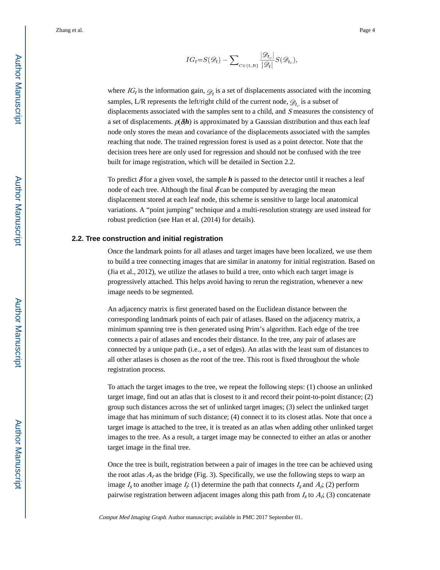$$
IG_t = S(\mathcal{D}_t) - \sum\nolimits_{C \in \{\mathrm{L}, \mathrm{R}\}} \frac{|\mathcal{D}_{t_c}|}{|\mathcal{D}_t|} S(\mathcal{D}_{t_c}),
$$

where  $IG_t$  is the information gain,  $\mathcal{D}_t$  is a set of displacements associated with the incoming samples, L/R represents the left/right child of the current node,  $\mathscr{D}_{t_c}$  is a subset of displacements associated with the samples sent to a child, and  $S$  measures the consistency of a set of displacements.  $p(\delta h)$  is approximated by a Gaussian distribution and thus each leaf node only stores the mean and covariance of the displacements associated with the samples reaching that node. The trained regression forest is used as a point detector. Note that the decision trees here are only used for regression and should not be confused with the tree built for image registration, which will be detailed in Section 2.2.

To predict  $\delta$  for a given voxel, the sample  $h$  is passed to the detector until it reaches a leaf node of each tree. Although the final  $\delta$  can be computed by averaging the mean displacement stored at each leaf node, this scheme is sensitive to large local anatomical variations. A "point jumping" technique and a multi-resolution strategy are used instead for robust prediction (see Han et al. (2014) for details).

#### **2.2. Tree construction and initial registration**

Once the landmark points for all atlases and target images have been localized, we use them to build a tree connecting images that are similar in anatomy for initial registration. Based on (Jia et al., 2012), we utilize the atlases to build a tree, onto which each target image is progressively attached. This helps avoid having to rerun the registration, whenever a new image needs to be segmented.

An adjacency matrix is first generated based on the Euclidean distance between the corresponding landmark points of each pair of atlases. Based on the adjacency matrix, a minimum spanning tree is then generated using Prim's algorithm. Each edge of the tree connects a pair of atlases and encodes their distance. In the tree, any pair of atlases are connected by a unique path (i.e., a set of edges). An atlas with the least sum of distances to all other atlases is chosen as the root of the tree. This root is fixed throughout the whole registration process.

To attach the target images to the tree, we repeat the following steps: (1) choose an unlinked target image, find out an atlas that is closest to it and record their point-to-point distance; (2) group such distances across the set of unlinked target images; (3) select the unlinked target image that has minimum of such distance; (4) connect it to its closest atlas. Note that once a target image is attached to the tree, it is treated as an atlas when adding other unlinked target images to the tree. As a result, a target image may be connected to either an atlas or another target image in the final tree.

Once the tree is built, registration between a pair of images in the tree can be achieved using the root atlas  $A<sub>r</sub>$  as the bridge (Fig. 3). Specifically, we use the following steps to warp an image  $I_s$  to another image  $I_t$ : (1) determine the path that connects  $I_s$  and  $A_t$ ; (2) perform pairwise registration between adjacent images along this path from  $I_s$  to  $A_i$ ; (3) concatenate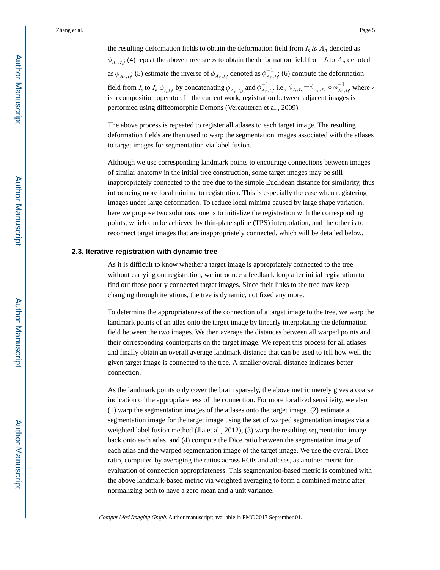the resulting deformation fields to obtain the deformation field from  $I_s$  to  $A_p$ , denoted as ; (4) repeat the above three steps to obtain the deformation field from  $I_t$  to  $A_t$ , denoted as  $\phi_{A_r,t_r}$ ; (5) estimate the inverse of  $\phi_{A_r,t_r}$ , denoted as  $\phi_{A_r,t_r}^{-1}$ ; (6) compute the deformation field from  $I_s$  to  $I_b \phi_{I_tI_s}$ , by concatenating  $\phi_{A_r,I_s}$  and  $\phi_{A_r,I_t}^{-1}$ , i.e.,  $\phi_{I_t,I_s} = \phi_{A_r,I_s} \circ \phi_{A_r,I_t}^{-1}$ , where  $\circ$ is a composition operator. In the current work, registration between adjacent images is performed using diffeomorphic Demons (Vercauteren et al., 2009).

The above process is repeated to register all atlases to each target image. The resulting deformation fields are then used to warp the segmentation images associated with the atlases to target images for segmentation via label fusion.

Although we use corresponding landmark points to encourage connections between images of similar anatomy in the initial tree construction, some target images may be still inappropriately connected to the tree due to the simple Euclidean distance for similarity, thus introducing more local minima to registration. This is especially the case when registering images under large deformation. To reduce local minima caused by large shape variation, here we propose two solutions: one is to initialize the registration with the corresponding points, which can be achieved by thin-plate spline (TPS) interpolation, and the other is to reconnect target images that are inappropriately connected, which will be detailed below.

#### **2.3. Iterative registration with dynamic tree**

As it is difficult to know whether a target image is appropriately connected to the tree without carrying out registration, we introduce a feedback loop after initial registration to find out those poorly connected target images. Since their links to the tree may keep changing through iterations, the tree is dynamic, not fixed any more.

To determine the appropriateness of the connection of a target image to the tree, we warp the landmark points of an atlas onto the target image by linearly interpolating the deformation field between the two images. We then average the distances between all warped points and their corresponding counterparts on the target image. We repeat this process for all atlases and finally obtain an overall average landmark distance that can be used to tell how well the given target image is connected to the tree. A smaller overall distance indicates better connection.

As the landmark points only cover the brain sparsely, the above metric merely gives a coarse indication of the appropriateness of the connection. For more localized sensitivity, we also (1) warp the segmentation images of the atlases onto the target image, (2) estimate a segmentation image for the target image using the set of warped segmentation images via a weighted label fusion method (Jia et al., 2012), (3) warp the resulting segmentation image back onto each atlas, and (4) compute the Dice ratio between the segmentation image of each atlas and the warped segmentation image of the target image. We use the overall Dice ratio, computed by averaging the ratios across ROIs and atlases, as another metric for evaluation of connection appropriateness. This segmentation-based metric is combined with the above landmark-based metric via weighted averaging to form a combined metric after normalizing both to have a zero mean and a unit variance.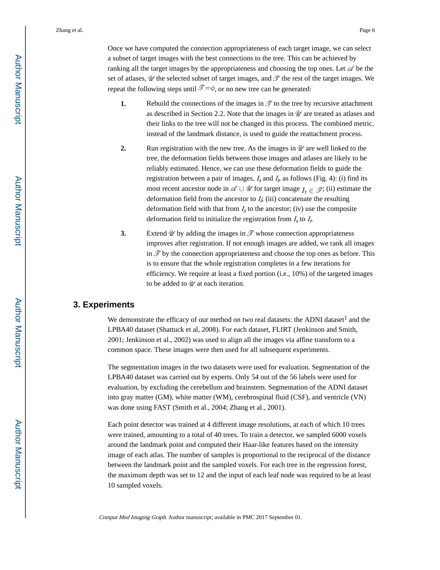Once we have computed the connection appropriateness of each target image, we can select a subset of target images with the best connections to the tree. This can be achieved by ranking all the target images by the appropriateness and choosing the top ones. Let  $\mathscr A$  be the set of atlases,  $\mathcal U$  the selected subset of target images, and  $\mathcal T$  the rest of the target images. We repeat the following steps until  $\mathcal{T} = \phi$ , or no new tree can be generated:

- **1.** Rebuild the connections of the images in  $\mathscr T$  to the tree by recursive attachment as described in Section 2.2. Note that the images in  $\mathscr U$  are treated as atlases and their links to the tree will not be changed in this process. The combined metric, instead of the landmark distance, is used to guide the reattachment process.
- **2.** Run registration with the new tree. As the images in  $\mathcal{U}$  are well linked to the tree, the deformation fields between those images and atlases are likely to be reliably estimated. Hence, we can use these deformation fields to guide the registration between a pair of images,  $I_s$  and  $I_t$ , as follows (Fig. 4): (i) find its most recent ancestor node in  $\mathscr{A} \cup \mathscr{U}$  for target image  $I_t \in \mathscr{T}$ ; (ii) estimate the deformation field from the ancestor to  $I_i$ ; (iii) concatenate the resulting deformation field with that from  $I_s$  to the ancestor; (iv) use the composite deformation field to initialize the registration from  $I_s$  to  $I_t$ .
- **3.** Extend  $\mathcal{U}$  by adding the images in  $\mathcal{T}$  whose connection appropriateness improves after registration. If not enough images are added, we rank all images in  $\mathscr T$  by the connection appropriateness and choose the top ones as before. This is to ensure that the whole registration completes in a few iterations for efficiency. We require at least a fixed portion (i.e., 10%) of the targeted images to be added to  $\mathcal U$  at each iteration.

#### **3. Experiments**

We demonstrate the efficacy of our method on two real datasets: the ADNI dataset<sup>1</sup> and the LPBA40 dataset (Shattuck et al, 2008). For each dataset, FLIRT (Jenkinson and Smith, 2001; Jenkinson et al., 2002) was used to align all the images via affine transform to a common space. These images were then used for all subsequent experiments.

The segmentation images in the two datasets were used for evaluation. Segmentation of the LPBA40 dataset was carried out by experts. Only 54 out of the 56 labels were used for evaluation, by excluding the cerebellum and brainstem. Segmentation of the ADNI dataset into gray matter (GM), white matter (WM), cerebrospinal fluid (CSF), and ventricle (VN) was done using FAST (Smith et al., 2004; Zhang et al., 2001).

Each point detector was trained at 4 different image resolutions, at each of which 10 trees were trained, amounting to a total of 40 trees. To train a detector, we sampled 6000 voxels around the landmark point and computed their Haar-like features based on the intensity image of each atlas. The number of samples is proportional to the reciprocal of the distance between the landmark point and the sampled voxels. For each tree in the regression forest, the maximum depth was set to 12 and the input of each leaf node was required to be at least 10 sampled voxels.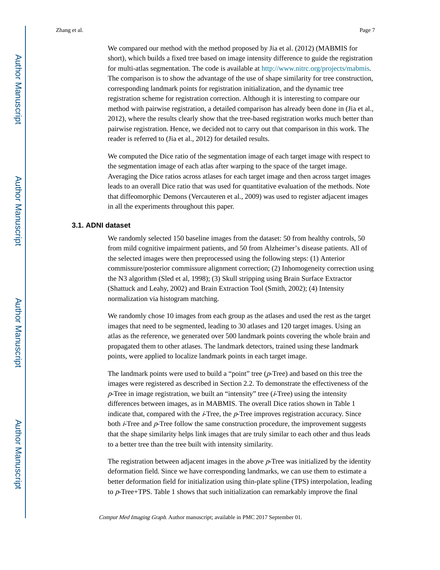We compared our method with the method proposed by Jia et al. (2012) (MABMIS for short), which builds a fixed tree based on image intensity difference to guide the registration for multi-atlas segmentation. The code is available at<http://www.nitrc.org/projects/mabmis>. The comparison is to show the advantage of the use of shape similarity for tree construction, corresponding landmark points for registration initialization, and the dynamic tree registration scheme for registration correction. Although it is interesting to compare our method with pairwise registration, a detailed comparison has already been done in (Jia et al., 2012), where the results clearly show that the tree-based registration works much better than pairwise registration. Hence, we decided not to carry out that comparison in this work. The reader is referred to (Jia et al., 2012) for detailed results.

We computed the Dice ratio of the segmentation image of each target image with respect to the segmentation image of each atlas after warping to the space of the target image. Averaging the Dice ratios across atlases for each target image and then across target images leads to an overall Dice ratio that was used for quantitative evaluation of the methods. Note that diffeomorphic Demons (Vercauteren et al., 2009) was used to register adjacent images in all the experiments throughout this paper.

#### **3.1. ADNI dataset**

We randomly selected 150 baseline images from the dataset: 50 from healthy controls, 50 from mild cognitive impairment patients, and 50 from Alzheimer's disease patients. All of the selected images were then preprocessed using the following steps: (1) Anterior commissure/posterior commissure alignment correction; (2) Inhomogeneity correction using the N3 algorithm (Sled et al, 1998); (3) Skull stripping using Brain Surface Extractor (Shattuck and Leahy, 2002) and Brain Extraction Tool (Smith, 2002); (4) Intensity normalization via histogram matching.

We randomly chose 10 images from each group as the atlases and used the rest as the target images that need to be segmented, leading to 30 atlases and 120 target images. Using an atlas as the reference, we generated over 500 landmark points covering the whole brain and propagated them to other atlases. The landmark detectors, trained using these landmark points, were applied to localize landmark points in each target image.

The landmark points were used to build a "point" tree  $(p$ -Tree) and based on this tree the images were registered as described in Section 2.2. To demonstrate the effectiveness of the  $p$ -Tree in image registration, we built an "intensity" tree ( $i$ -Tree) using the intensity differences between images, as in MABMIS. The overall Dice ratios shown in Table 1 indicate that, compared with the  $\dot{I}$ -Tree, the  $p$ -Tree improves registration accuracy. Since both *i*-Tree and  $p$ -Tree follow the same construction procedure, the improvement suggests that the shape similarity helps link images that are truly similar to each other and thus leads to a better tree than the tree built with intensity similarity.

The registration between adjacent images in the above  $p$ -Tree was initialized by the identity deformation field. Since we have corresponding landmarks, we can use them to estimate a better deformation field for initialization using thin-plate spline (TPS) interpolation, leading to  $p$ -Tree+TPS. Table 1 shows that such initialization can remarkably improve the final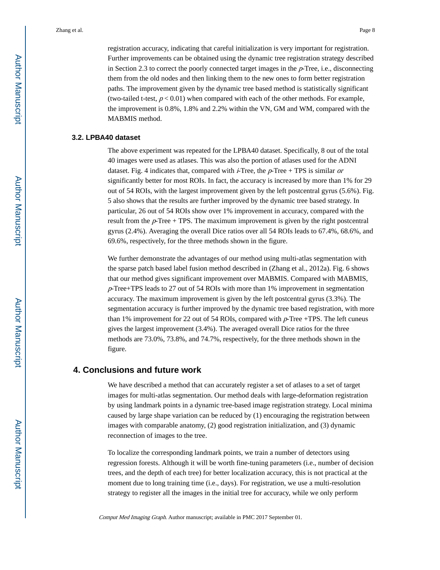registration accuracy, indicating that careful initialization is very important for registration. Further improvements can be obtained using the dynamic tree registration strategy described in Section 2.3 to correct the poorly connected target images in the  $p$ -Tree, i.e., disconnecting them from the old nodes and then linking them to the new ones to form better registration paths. The improvement given by the dynamic tree based method is statistically significant (two-tailed t-test,  $p < 0.01$ ) when compared with each of the other methods. For example, the improvement is 0.8%, 1.8% and 2.2% within the VN, GM and WM, compared with the MABMIS method.

#### **3.2. LPBA40 dataset**

The above experiment was repeated for the LPBA40 dataset. Specifically, 8 out of the total 40 images were used as atlases. This was also the portion of atlases used for the ADNI dataset. Fig. 4 indicates that, compared with  $\vec{i}$ -Tree, the  $\vec{p}$ -Tree + TPS is similar or significantly better for most ROIs. In fact, the accuracy is increased by more than 1% for 29 out of 54 ROIs, with the largest improvement given by the left postcentral gyrus (5.6%). Fig. 5 also shows that the results are further improved by the dynamic tree based strategy. In particular, 26 out of 54 ROIs show over 1% improvement in accuracy, compared with the result from the  $p$ -Tree  $+$  TPS. The maximum improvement is given by the right postcentral gyrus (2.4%). Averaging the overall Dice ratios over all 54 ROIs leads to 67.4%, 68.6%, and 69.6%, respectively, for the three methods shown in the figure.

We further demonstrate the advantages of our method using multi-atlas segmentation with the sparse patch based label fusion method described in (Zhang et al., 2012a). Fig. 6 shows that our method gives significant improvement over MABMIS. Compared with MABMIS, <sup>p</sup>-Tree+TPS leads to 27 out of 54 ROIs with more than 1% improvement in segmentation accuracy. The maximum improvement is given by the left postcentral gyrus (3.3%). The segmentation accuracy is further improved by the dynamic tree based registration, with more than 1% improvement for 22 out of 54 ROIs, compared with  $p$ -Tree +TPS. The left cuneus gives the largest improvement (3.4%). The averaged overall Dice ratios for the three methods are 73.0%, 73.8%, and 74.7%, respectively, for the three methods shown in the figure.

## **4. Conclusions and future work**

We have described a method that can accurately register a set of atlases to a set of target images for multi-atlas segmentation. Our method deals with large-deformation registration by using landmark points in a dynamic tree-based image registration strategy. Local minima caused by large shape variation can be reduced by (1) encouraging the registration between images with comparable anatomy, (2) good registration initialization, and (3) dynamic reconnection of images to the tree.

To localize the corresponding landmark points, we train a number of detectors using regression forests. Although it will be worth fine-tuning parameters (i.e., number of decision trees, and the depth of each tree) for better localization accuracy, this is not practical at the moment due to long training time (i.e., days). For registration, we use a multi-resolution strategy to register all the images in the initial tree for accuracy, while we only perform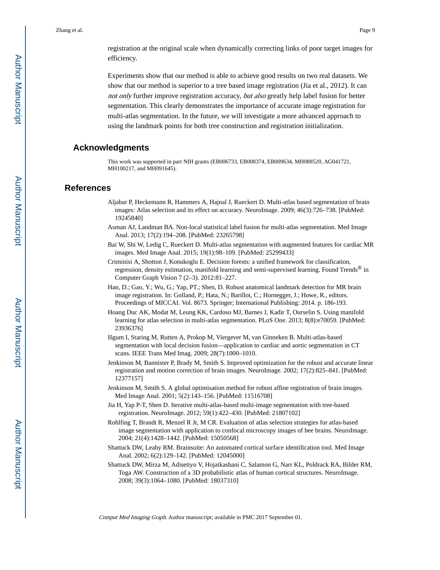registration at the original scale when dynamically correcting links of poor target images for efficiency.

Experiments show that our method is able to achieve good results on two real datasets. We show that our method is superior to a tree based image registration (Jia et al., 2012). It can not only further improve registration accuracy, but also greatly help label fusion for better segmentation. This clearly demonstrates the importance of accurate image registration for multi-atlas segmentation. In the future, we will investigate a more advanced approach to using the landmark points for both tree construction and registration initialization.

## **Acknowledgments**

This work was supported in part NIH grants (EB006733, EB008374, EB009634, MH088520, AG041721, MH100217, and MH091645).

#### **References**

- Aljabar P, Heckemann R, Hammers A, Hajnal J, Rueckert D. Multi-atlas based segmentation of brain images: Atlas selection and its effect on accuracy. NeuroImage. 2009; 46(3):726–738. [PubMed: 19245840]
- Asman AJ, Landman BA. Non-local statistical label fusion for multi-atlas segmentation. Med Image Anal. 2013; 17(2):194–208. [PubMed: 23265798]
- Bai W, Shi W, Ledig C, Rueckert D. Multi-atlas segmentation with augmented features for cardiac MR images. Med Image Anal. 2015; 19(1):98–109. [PubMed: 25299433]
- Criminisi A, Shotton J, Konukoglu E. Decision forests: a unified framework for classification, regression, density estimation, manifold learning and semi-supervised learning. Found Trends® in Computer Graph Vision 7 (2–3). 2012:81–227.
- Han, D.; Gao, Y.; Wu, G.; Yap, PT.; Shen, D. Robust anatomical landmark detection for MR brain image registration. In: Golland, P.; Hata, N.; Barillot, C.; Hornegger, J.; Howe, R., editors. Proceedings of MICCAI. Vol. 8673. Springer; International Publishing: 2014. p. 186-193.
- Hoang Duc AK, Modat M, Leung KK, Cardoso MJ, Barnes J, Kadir T, Ourselin S. Using manifold learning for atlas selection in multi-atlas segmentation. PLoS One. 2013; 8(8):e70059. [PubMed: 23936376]
- Išgum I, Staring M, Rutten A, Prokop M, Viergever M, van Ginneken B. Multi-atlas-based segmentation with local decision fusion—application to cardiac and aortic segmentation in CT scans. IEEE Trans Med Imag. 2009; 28(7):1000–1010.
- Jenkinson M, Bannister P, Brady M, Smith S. Improved optimization for the robust and accurate linear registration and motion correction of brain images. NeuroImage. 2002; 17(2):825–841. [PubMed: 12377157]
- Jenkinson M, Smith S. A global optimisation method for robust affine registration of brain images. Med Image Anal. 2001; 5(2):143–156. [PubMed: 11516708]
- Jia H, Yap P-T, Shen D. Iterative multi-atlas-based multi-image segmentation with tree-based registration. NeuroImage. 2012; 59(1):422–430. [PubMed: 21807102]
- Rohlfing T, Brandt R, Menzel R Jr, M CR. Evaluation of atlas selection strategies for atlas-based image segmentation with application to confocal microscopy images of bee brains. NeuroImage. 2004; 21(4):1428–1442. [PubMed: 15050568]
- Shattuck DW, Leahy RM. Brainsuite: An automated cortical surface identification tool. Med Image Anal. 2002; 6(2):129–142. [PubMed: 12045000]
- Shattuck DW, Mirza M, Adisetiyo V, Hojatkashani C, Salamon G, Narr KL, Poldrack RA, Bilder RM, Toga AW. Construction of a 3D probabilistic atlas of human cortical structures. NeuroImage. 2008; 39(3):1064–1080. [PubMed: 18037310]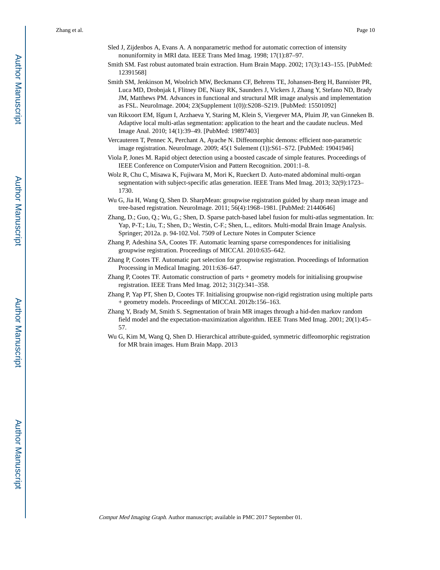- Sled J, Zijdenbos A, Evans A. A nonparametric method for automatic correction of intensity nonuniformity in MRI data. IEEE Trans Med Imag. 1998; 17(1):87–97.
- Smith SM. Fast robust automated brain extraction. Hum Brain Mapp. 2002; 17(3):143–155. [PubMed: 12391568]
- Smith SM, Jenkinson M, Woolrich MW, Beckmann CF, Behrens TE, Johansen-Berg H, Bannister PR, Luca MD, Drobnjak I, Flitney DE, Niazy RK, Saunders J, Vickers J, Zhang Y, Stefano ND, Brady JM, Matthews PM. Advances in functional and structural MR image analysis and implementation as FSL. NeuroImage. 2004; 23(Supplement 1(0)):S208–S219. [PubMed: 15501092]
- van Rikxoort EM, Išgum I, Arzhaeva Y, Staring M, Klein S, Viergever MA, Pluim JP, van Ginneken B. Adaptive local multi-atlas segmentation: application to the heart and the caudate nucleus. Med Image Anal. 2010; 14(1):39–49. [PubMed: 19897403]
- Vercauteren T, Pennec X, Perchant A, Ayache N. Diffeomorphic demons: efficient non-parametric image registration. NeuroImage. 2009; 45(1 Sulement (1)):S61–S72. [PubMed: 19041946]
- Viola P, Jones M. Rapid object detection using a boosted cascade of simple features. Proceedings of IEEE Conference on ComputerVision and Pattern Recognition. 2001:1–8.
- Wolz R, Chu C, Misawa K, Fujiwara M, Mori K, Rueckert D. Auto-mated abdominal multi-organ segmentation with subject-specific atlas generation. IEEE Trans Med Imag. 2013; 32(9):1723– 1730.
- Wu G, Jia H, Wang Q, Shen D. SharpMean: groupwise registration guided by sharp mean image and tree-based registration. NeuroImage. 2011; 56(4):1968–1981. [PubMed: 21440646]
- Zhang, D.; Guo, Q.; Wu, G.; Shen, D. Sparse patch-based label fusion for multi-atlas segmentation. In: Yap, P-T.; Liu, T.; Shen, D.; Westin, C-F.; Shen, L., editors. Multi-modal Brain Image Analysis. Springer; 2012a. p. 94-102.Vol. 7509 of Lecture Notes in Computer Science
- Zhang P, Adeshina SA, Cootes TF. Automatic learning sparse correspondences for initialising groupwise registration. Proceedings of MICCAI. 2010:635–642.
- Zhang P, Cootes TF. Automatic part selection for groupwise registration. Proceedings of Information Processing in Medical Imaging. 2011:636–647.
- Zhang P, Cootes TF. Automatic construction of parts + geometry models for initialising groupwise registration. IEEE Trans Med Imag. 2012; 31(2):341–358.
- Zhang P, Yap PT, Shen D, Cootes TF. Initialising groupwise non-rigid registration using multiple parts + geometry models. Proceedings of MICCAI. 2012b:156–163.
- Zhang Y, Brady M, Smith S. Segmentation of brain MR images through a hid-den markov random field model and the expectation-maximization algorithm. IEEE Trans Med Imag. 2001; 20(1):45– 57.
- Wu G, Kim M, Wang Q, Shen D. Hierarchical attribute-guided, symmetric diffeomorphic registration for MR brain images. Hum Brain Mapp. 2013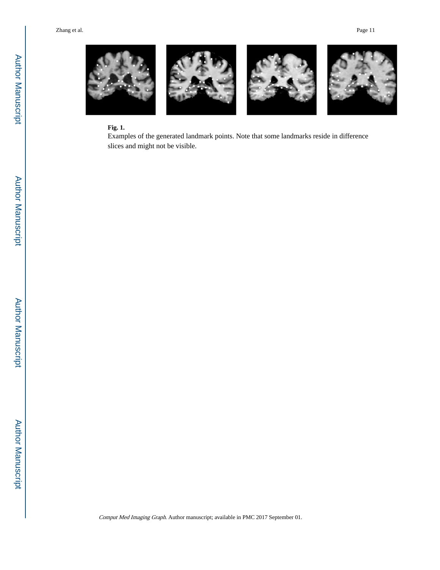

# **Fig. 1.**

Examples of the generated landmark points. Note that some landmarks reside in difference slices and might not be visible.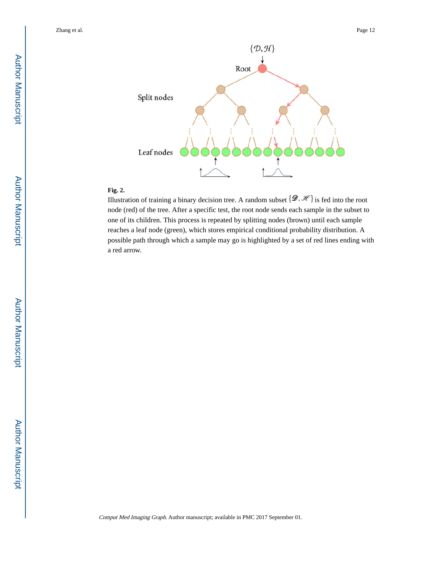

# **Fig. 2.**

Illustration of training a binary decision tree. A random subset  $\{\mathcal{D}, \mathcal{H}\}$  is fed into the root node (red) of the tree. After a specific test, the root node sends each sample in the subset to one of its children. This process is repeated by splitting nodes (brown) until each sample reaches a leaf node (green), which stores empirical conditional probability distribution. A possible path through which a sample may go is highlighted by a set of red lines ending with a red arrow.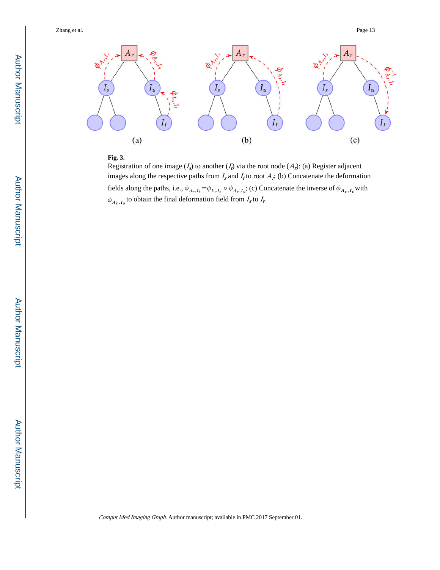



Registration of one image  $(I<sub>s</sub>)$  to another  $(I<sub>t</sub>)$  via the root node  $(A<sub>r</sub>)$ : (a) Register adjacent images along the respective paths from  $I_s$  and  $I_t$  to root  $A_t$ ; (b) Concatenate the deformation fields along the paths, i.e.,  $\phi_{A_r,t_t} = \phi_{I_w,t_t} \circ \phi_{A_r,t_u}$ ; (c) Concatenate the inverse of  $\phi_{A_r,t_t}$  with to obtain the final deformation field from  $I_s$  to  $I_t$ .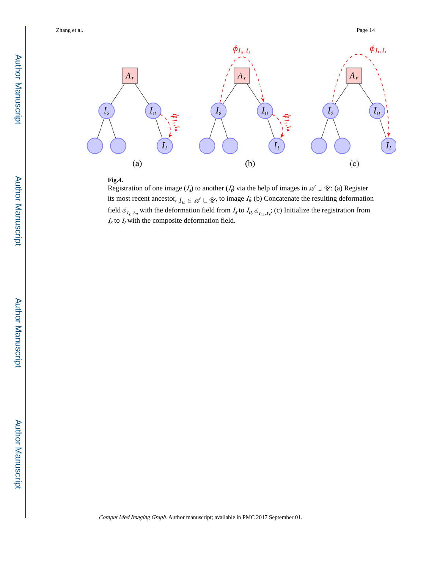

#### **Fig.4.**

Registration of one image  $(I_s)$  to another  $(I_l)$  via the help of images in  $\mathscr{A} \cup \mathscr{U}$ : (a) Register its most recent ancestor,  $I_{u} \in \mathcal{A} \cup \mathcal{U}$ , to image  $I_{i}$ , (b) Concatenate the resulting deformation field  $\phi_{I_t, I_u}$  with the deformation field from  $I_s$  to  $I_{u_t} \phi_{I_u, I_s}$ ; (c) Initialize the registration from  $I<sub>s</sub>$  to  $I<sub>t</sub>$  with the composite deformation field.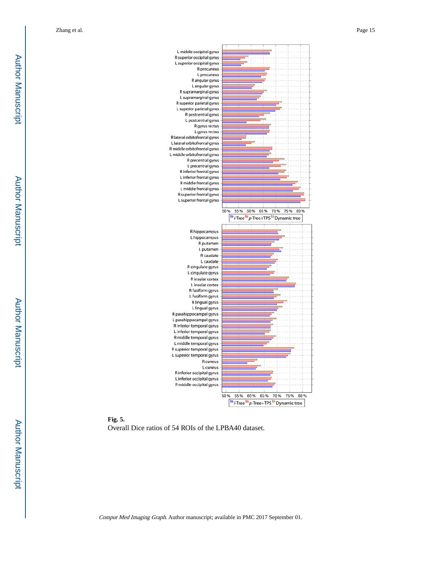

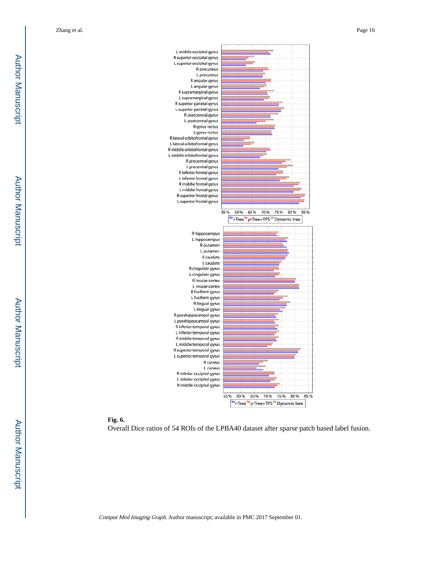